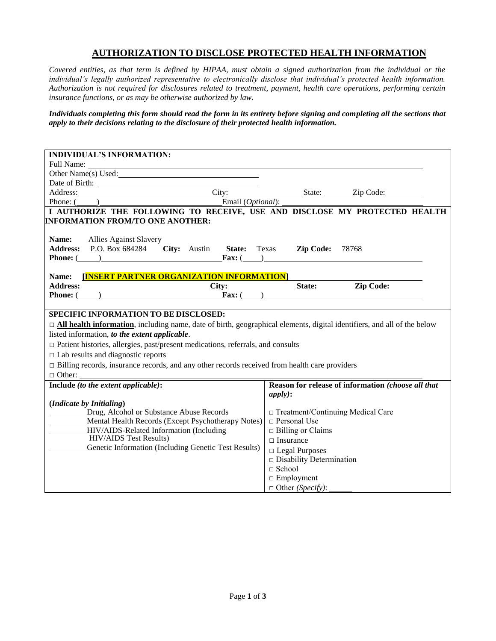## **AUTHORIZATION TO DISCLOSE PROTECTED HEALTH INFORMATION**

*Covered entities, as that term is defined by HIPAA, must obtain a signed authorization from the individual or the individual's legally authorized representative to electronically disclose that individual's protected health information. Authorization is not required for disclosures related to treatment, payment, health care operations, performing certain insurance functions, or as may be otherwise authorized by law.*

*Individuals completing this form should read the form in its entirety before signing and completing all the sections that apply to their decisions relating to the disclosure of their protected health information.*

| <b>INDIVIDUAL'S INFORMATION:</b>                                                                                                                                                                                                                                                                            |  |  |  |
|-------------------------------------------------------------------------------------------------------------------------------------------------------------------------------------------------------------------------------------------------------------------------------------------------------------|--|--|--|
|                                                                                                                                                                                                                                                                                                             |  |  |  |
| Other Name(s) Used:                                                                                                                                                                                                                                                                                         |  |  |  |
|                                                                                                                                                                                                                                                                                                             |  |  |  |
| Address: City: City: State: Zip Code: 2.1.                                                                                                                                                                                                                                                                  |  |  |  |
|                                                                                                                                                                                                                                                                                                             |  |  |  |
| Phone: (Channel Communication of the Email (Optional): Letting and Security 2 and 2 and 2 and 2 and 2 and 2 and 2 and 2 and 2 and 2 and 2 and 2 and 2 and 2 and 2 and 2 and 2 and 2 and 2 and 2 and 2 and 2 and 2 and 2 and 2<br>I AUTHORIZE THE FOLLOWING TO RECEIVE, USE AND DISCLOSE MY PROTECTED HEALTH |  |  |  |
| <b>INFORMATION FROM/TO ONE ANOTHER:</b>                                                                                                                                                                                                                                                                     |  |  |  |
|                                                                                                                                                                                                                                                                                                             |  |  |  |
| Name:                                                                                                                                                                                                                                                                                                       |  |  |  |
| <b>Allies Against Slavery</b><br>Address: P.O. Box 684284 City: Austin State: Texas Zip Code: 78768                                                                                                                                                                                                         |  |  |  |
| <b>Phone:</b> $\left(\begin{array}{c} \hline \end{array}\right)$<br>Fax: $\left( \qquad \right)$                                                                                                                                                                                                            |  |  |  |
|                                                                                                                                                                                                                                                                                                             |  |  |  |
| [INSERT PARTNER ORGANIZATION INFORMATION]<br>Name:                                                                                                                                                                                                                                                          |  |  |  |
| Address: City: City: State: Zip Code:                                                                                                                                                                                                                                                                       |  |  |  |
| <b>Phone:</b> $($ $)$ <b>Fax:</b> $($                                                                                                                                                                                                                                                                       |  |  |  |
|                                                                                                                                                                                                                                                                                                             |  |  |  |
| <b>SPECIFIC INFORMATION TO BE DISCLOSED:</b>                                                                                                                                                                                                                                                                |  |  |  |
|                                                                                                                                                                                                                                                                                                             |  |  |  |
| □ All health information, including name, date of birth, geographical elements, digital identifiers, and all of the below                                                                                                                                                                                   |  |  |  |
| listed information, to the extent applicable.                                                                                                                                                                                                                                                               |  |  |  |
| $\Box$ Patient histories, allergies, past/present medications, referrals, and consults                                                                                                                                                                                                                      |  |  |  |
| $\Box$ Lab results and diagnostic reports                                                                                                                                                                                                                                                                   |  |  |  |
| $\Box$ Billing records, insurance records, and any other records received from health care providers                                                                                                                                                                                                        |  |  |  |
| $\Box$ Other:                                                                                                                                                                                                                                                                                               |  |  |  |
| Include (to the extent applicable):<br>Reason for release of information (choose all that                                                                                                                                                                                                                   |  |  |  |
| apply):                                                                                                                                                                                                                                                                                                     |  |  |  |
| (Indicate by Initialing)                                                                                                                                                                                                                                                                                    |  |  |  |
| Drug, Alcohol or Substance Abuse Records<br>□ Treatment/Continuing Medical Care                                                                                                                                                                                                                             |  |  |  |
| $\Box$ Personal Use<br>Mental Health Records (Except Psychotherapy Notes)                                                                                                                                                                                                                                   |  |  |  |
| HIV/AIDS-Related Information (Including<br>$\Box$ Billing or Claims                                                                                                                                                                                                                                         |  |  |  |
| <b>HIV/AIDS Test Results)</b><br>$\Box$ Insurance                                                                                                                                                                                                                                                           |  |  |  |
| Genetic Information (Including Genetic Test Results)<br>$\Box$ Legal Purposes                                                                                                                                                                                                                               |  |  |  |
| $\hfill \Box$<br><br>Disability Determination                                                                                                                                                                                                                                                               |  |  |  |
| $\Box$ School                                                                                                                                                                                                                                                                                               |  |  |  |
| $\Box$ Employment                                                                                                                                                                                                                                                                                           |  |  |  |
| $\Box$ Other ( <i>Specify</i> ):                                                                                                                                                                                                                                                                            |  |  |  |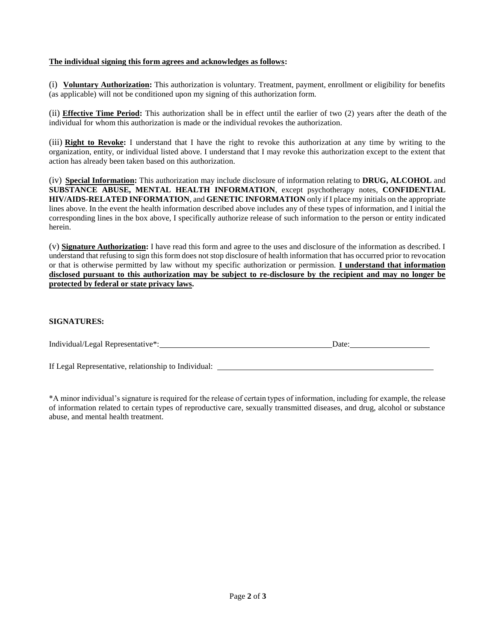## **The individual signing this form agrees and acknowledges as follows:**

(i) **Voluntary Authorization:** This authorization is voluntary. Treatment, payment, enrollment or eligibility for benefits (as applicable) will not be conditioned upon my signing of this authorization form.

(ii) **Effective Time Period:** This authorization shall be in effect until the earlier of two (2) years after the death of the individual for whom this authorization is made or the individual revokes the authorization.

(iii) **Right to Revoke:** I understand that I have the right to revoke this authorization at any time by writing to the organization, entity, or individual listed above. I understand that I may revoke this authorization except to the extent that action has already been taken based on this authorization.

(iv) **Special Information:** This authorization may include disclosure of information relating to **DRUG, ALCOHOL** and **SUBSTANCE ABUSE, MENTAL HEALTH INFORMATION**, except psychotherapy notes, **CONFIDENTIAL HIV/AIDS-RELATED INFORMATION**, and **GENETIC INFORMATION** only if I place my initials on the appropriate lines above. In the event the health information described above includes any of these types of information, and I initial the corresponding lines in the box above, I specifically authorize release of such information to the person or entity indicated herein.

(v) **Signature Authorization:** I have read this form and agree to the uses and disclosure of the information as described. I understand that refusing to sign this form does not stop disclosure of health information that has occurred prior to revocation or that is otherwise permitted by law without my specific authorization or permission. **I understand that information disclosed pursuant to this authorization may be subject to re-disclosure by the recipient and may no longer be protected by federal or state privacy laws.**

## **SIGNATURES:**

| Individual/Legal Representative*: | Jate |
|-----------------------------------|------|
|-----------------------------------|------|

If Legal Representative, relationship to Individual:

\*A minor individual's signature is required for the release of certain types of information, including for example, the release of information related to certain types of reproductive care, sexually transmitted diseases, and drug, alcohol or substance abuse, and mental health treatment.